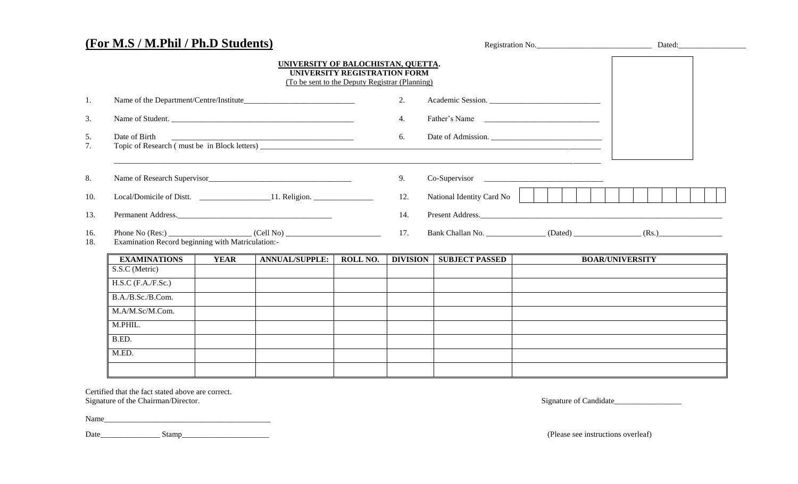|                      | (For M.S / M.Phil / Ph.D Students)                                                                          |             |                                                                                      |                              | Registration No. |                           |                                                                                   |                        |
|----------------------|-------------------------------------------------------------------------------------------------------------|-------------|--------------------------------------------------------------------------------------|------------------------------|------------------|---------------------------|-----------------------------------------------------------------------------------|------------------------|
|                      |                                                                                                             |             | UNIVERSITY OF BALOCHISTAN, QUETTA.<br>(To be sent to the Deputy Registrar (Planning) | UNIVERSITY REGISTRATION FORM |                  |                           |                                                                                   |                        |
| 1.                   |                                                                                                             |             |                                                                                      |                              |                  |                           | Academic Session.                                                                 |                        |
| 3.                   | Name of Student.                                                                                            |             |                                                                                      |                              | 4.               |                           |                                                                                   |                        |
| 5.<br>7 <sub>1</sub> | Date of Birth                                                                                               |             |                                                                                      | 6.                           |                  |                           |                                                                                   |                        |
| 8.                   |                                                                                                             |             |                                                                                      |                              | 9.               |                           | Co-Supervisor                                                                     |                        |
| 10.                  | Local/Domicile of Distt. ________________________11. Religion. _________________                            |             |                                                                                      |                              | 12.              | National Identity Card No |                                                                                   |                        |
| 13.                  |                                                                                                             |             | Permanent Address.                                                                   |                              | 14.              |                           |                                                                                   |                        |
| 16.<br>18.           | Examination Record beginning with Matriculation:-                                                           |             |                                                                                      | 17.                          |                  |                           | Bank Challan No. ________________(Dated) _________________(Rs.) _________________ |                        |
|                      | <b>EXAMINATIONS</b>                                                                                         | <b>YEAR</b> | <b>ANNUAL/SUPPLE:</b>                                                                | ROLL NO.                     | <b>DIVISION</b>  | <b>SUBJECT PASSED</b>     |                                                                                   | <b>BOAR/UNIVERSITY</b> |
|                      | S.S.C (Metric)<br>$H.S.C$ (F.A./F.Sc.)<br>B.A./B.Sc./B.Com.<br>M.A/M.Sc/M.Com.<br>M.PHIL.<br>B.ED.<br>M.ED. |             |                                                                                      |                              |                  |                           |                                                                                   |                        |
|                      |                                                                                                             |             |                                                                                      |                              |                  |                           |                                                                                   |                        |

Certified that the fact stated above are correct.

| Name |       |                                        |
|------|-------|----------------------------------------|
| Date | Stamp | (Please see instructions over<br>rleaf |

Signature of the Chairman/Director. Signature of Candidate\_\_\_\_\_\_\_\_\_\_\_\_\_\_\_\_\_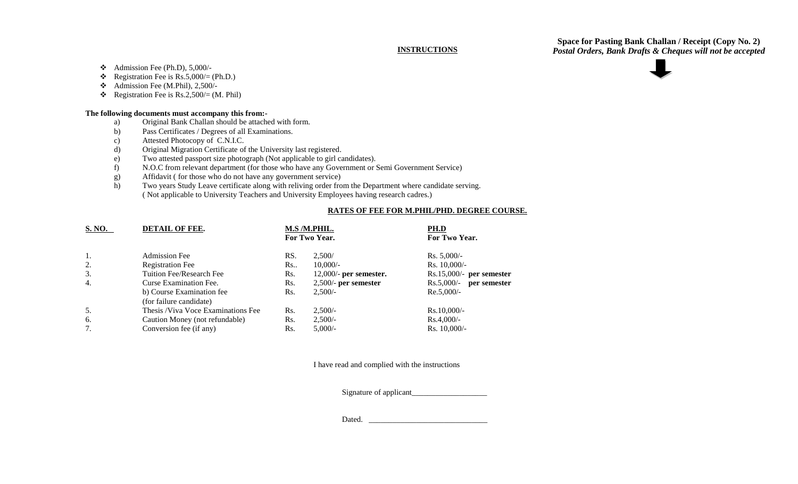## **INSTRUCTIONS**

**Space for Pasting Bank Challan / Receipt (Copy No. 2)** *Postal Orders, Bank Drafts & Cheques will not be accepted*

 $\triangleleft$  Admission Fee (Ph.D), 5,000/-

- Registration Fee is  $Rs.5,000/(Ph.D.)$
- $\triangleleft$  Admission Fee (M.Phil), 2,500/-
- Registration Fee is Rs.2,500/= (M. Phil)

## **The following documents must accompany this from:-**

- a) Original Bank Challan should be attached with form.
- b) Pass Certificates / Degrees of all Examinations.
- c) Attested Photocopy of C.N.I.C.
- d) Original Migration Certificate of the University last registered.
- e) Two attested passport size photograph (Not applicable to girl candidates).
- f) N.O.C from relevant department (for those who have any Government or Semi Government Service)
- g) Affidavit ( for those who do not have any government service)
- h) Two years Study Leave certificate along with reliving order from the Department where candidate serving. ( Not applicable to University Teachers and University Employees having research cadres.)

## **RATES OF FEE FOR M.PHIL/PHD. DEGREE COURSE.**

| S. NO. | <b>DETAIL OF FEE.</b>              |     | M.S /M.PHIL.<br>For Two Year. | PH.D<br>For Two Year.        |
|--------|------------------------------------|-----|-------------------------------|------------------------------|
| -1.    | <b>Admission Fee</b>               | RS. | 2,500/                        | $Rs. 5,000/-$                |
| 2.     | <b>Registration Fee</b>            | Rs. | $10,000/-$                    | Rs. $10,000/-$               |
| 3.     | Tuition Fee/Research Fee           | Rs. | $12,000$ - per semester.      | $Rs.15,000/-$ per semester   |
| 4.     | Curse Examination Fee.             | Rs. | $2,500/$ - per semester       | $Rs.5,000/-$<br>per semester |
|        | b) Course Examination fee          | Rs. | $2,500/-$                     | $Re.5,000/-$                 |
|        | (for failure candidate)            |     |                               |                              |
| 5.     | Thesis /Viva Voce Examinations Fee | Rs. | $2,500/-$                     | $Rs.10,000/-$                |
| 6.     | Caution Money (not refundable)     | Rs. | $2,500/-$                     | $Rs.4,000/-$                 |
| 7.     | Conversion fee (if any)            | Rs. | $5,000/-$                     | $Rs. 10,000/-$               |

I have read and complied with the instructions

Signature of applicant\_\_\_\_\_\_\_\_\_\_\_\_\_\_\_\_\_\_\_

Dated. \_\_\_\_\_\_\_\_\_\_\_\_\_\_\_\_\_\_\_\_\_\_\_\_\_\_\_\_\_\_